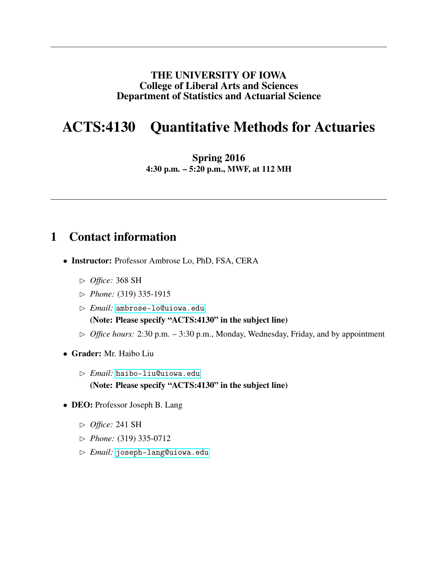#### THE UNIVERSITY OF IOWA College of Liberal Arts and Sciences Department of Statistics and Actuarial Science

# ACTS:4130 Quantitative Methods for Actuaries

Spring 2016 4:30 p.m. – 5:20 p.m., MWF, at 112 MH

### 1 Contact information

- Instructor: Professor Ambrose Lo, PhD, FSA, CERA
	- ✄ *Office:* 368 SH
	- ✄ *Phone:* (319) 335-1915
	- ✄ *Email:* <ambrose-lo@uiowa.edu> (Note: Please specify "ACTS:4130" in the subject line)
	- ✄ *Office hours:* 2:30 p.m. 3:30 p.m., Monday, Wednesday, Friday, and by appointment
- Grader: Mr. Haibo Liu
	- ✄ *Email:* <haibo-liu@uiowa.edu> (Note: Please specify "ACTS:4130" in the subject line)
- DEO: Professor Joseph B. Lang
	- ✄ *Office:* 241 SH
	- ✄ *Phone:* (319) 335-0712
	- ✄ *Email:* <joseph-lang@uiowa.edu>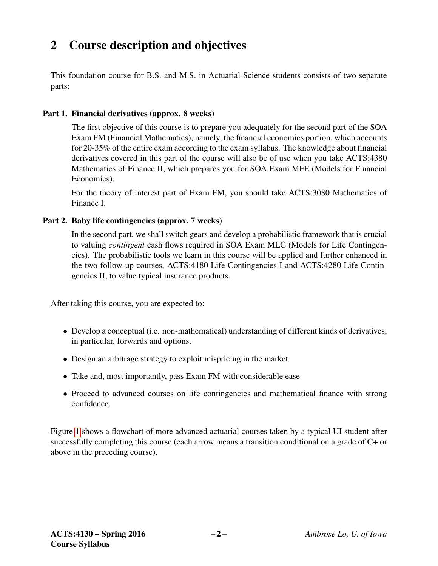# 2 Course description and objectives

This foundation course for B.S. and M.S. in Actuarial Science students consists of two separate parts:

#### Part 1. Financial derivatives (approx. 8 weeks)

The first objective of this course is to prepare you adequately for the second part of the SOA Exam FM (Financial Mathematics), namely, the financial economics portion, which accounts for 20-35% of the entire exam according to the exam syllabus. The knowledge about financial derivatives covered in this part of the course will also be of use when you take ACTS:4380 Mathematics of Finance II, which prepares you for SOA Exam MFE (Models for Financial Economics).

For the theory of interest part of Exam FM, you should take ACTS:3080 Mathematics of Finance I.

#### Part 2. Baby life contingencies (approx. 7 weeks)

In the second part, we shall switch gears and develop a probabilistic framework that is crucial to valuing *contingent* cash flows required in SOA Exam MLC (Models for Life Contingencies). The probabilistic tools we learn in this course will be applied and further enhanced in the two follow-up courses, ACTS:4180 Life Contingencies I and ACTS:4280 Life Contingencies II, to value typical insurance products.

After taking this course, you are expected to:

- Develop a conceptual (i.e. non-mathematical) understanding of different kinds of derivatives, in particular, forwards and options.
- Design an arbitrage strategy to exploit mispricing in the market.
- Take and, most importantly, pass Exam FM with considerable ease.
- Proceed to advanced courses on life contingencies and mathematical finance with strong confidence.

Figure [1](#page-2-0) shows a flowchart of more advanced actuarial courses taken by a typical UI student after successfully completing this course (each arrow means a transition conditional on a grade of C+ or above in the preceding course).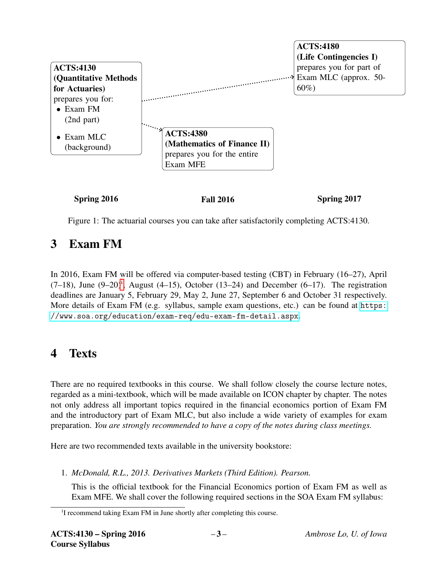

<span id="page-2-0"></span>Figure 1: The actuarial courses you can take after satisfactorily completing ACTS:4130.

# 3 Exam FM

In 2016, Exam FM will be offered via computer-based testing (CBT) in February (16–27), April  $(7-18)$ , June  $(9-20)^i$  $(9-20)^i$ , August  $(4-15)$ , October  $(13-24)$  and December  $(6-17)$ . The registration deadlines are January 5, February 29, May 2, June 27, September 6 and October 31 respectively. More details of Exam FM (e.g. syllabus, sample exam questions, etc.) can be found at [https:](https://www.soa.org/education/exam-req/edu-exam-fm-detail.aspx) [//www.soa.org/education/exam-req/edu-exam-fm-detail.aspx](https://www.soa.org/education/exam-req/edu-exam-fm-detail.aspx).

## 4 Texts

There are no required textbooks in this course. We shall follow closely the course lecture notes, regarded as a mini-textbook, which will be made available on ICON chapter by chapter. The notes not only address all important topics required in the financial economics portion of Exam FM and the introductory part of Exam MLC, but also include a wide variety of examples for exam preparation. *You are strongly recommended to have a copy of the notes during class meetings.*

Here are two recommended texts available in the university bookstore:

1. *McDonald, R.L., 2013. Derivatives Markets (Third Edition). Pearson.*

This is the official textbook for the Financial Economics portion of Exam FM as well as Exam MFE. We shall cover the following required sections in the SOA Exam FM syllabus:

<span id="page-2-1"></span><sup>&</sup>lt;sup>i</sup>I recommend taking Exam FM in June shortly after completing this course.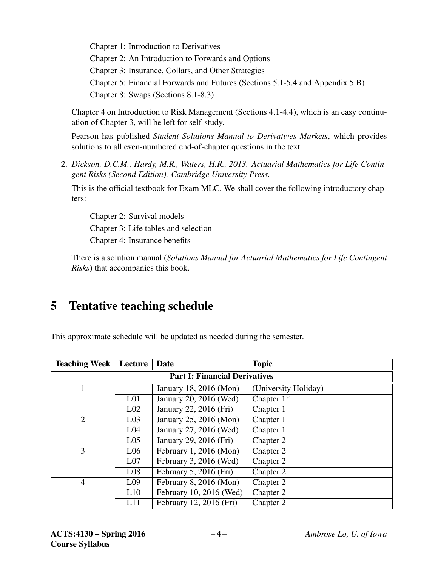Chapter 1: Introduction to Derivatives Chapter 2: An Introduction to Forwards and Options Chapter 3: Insurance, Collars, and Other Strategies Chapter 5: Financial Forwards and Futures (Sections 5.1-5.4 and Appendix 5.B) Chapter 8: Swaps (Sections 8.1-8.3)

Chapter 4 on Introduction to Risk Management (Sections 4.1-4.4), which is an easy continuation of Chapter 3, will be left for self-study.

Pearson has published *Student Solutions Manual to Derivatives Markets*, which provides solutions to all even-numbered end-of-chapter questions in the text.

2. *Dickson, D.C.M., Hardy, M.R., Waters, H.R., 2013. Actuarial Mathematics for Life Contingent Risks (Second Edition). Cambridge University Press.*

This is the official textbook for Exam MLC. We shall cover the following introductory chapters:

Chapter 2: Survival models Chapter 3: Life tables and selection Chapter 4: Insurance benefits

There is a solution manual (*Solutions Manual for Actuarial Mathematics for Life Contingent Risks*) that accompanies this book.

## 5 Tentative teaching schedule

This approximate schedule will be updated as needed during the semester.

| <b>Teaching Week</b>                     | Lecture                                   | Date                    | <b>Topic</b>         |  |  |  |
|------------------------------------------|-------------------------------------------|-------------------------|----------------------|--|--|--|
| <b>Part I: Financial Derivatives</b>     |                                           |                         |                      |  |  |  |
|                                          |                                           | January 18, 2016 (Mon)  | (University Holiday) |  |  |  |
|                                          | L <sub>01</sub>                           | January 20, 2016 (Wed)  | Chapter $1*$         |  |  |  |
|                                          | L <sub>02</sub>                           | January 22, 2016 (Fri)  | Chapter 1            |  |  |  |
| $\overline{2}$<br>L <sub>03</sub>        |                                           | January 25, 2016 (Mon)  | Chapter 1            |  |  |  |
|                                          | L <sub>04</sub>                           | January 27, 2016 (Wed)  | Chapter 1            |  |  |  |
|                                          | L <sub>05</sub>                           | January 29, 2016 (Fri)  | Chapter 2            |  |  |  |
| 3                                        | February 1, 2016 (Mon)<br>L <sub>06</sub> |                         | Chapter 2            |  |  |  |
|                                          | L <sub>07</sub>                           | February 3, 2016 (Wed)  | Chapter 2            |  |  |  |
|                                          | L <sub>08</sub>                           | February 5, 2016 (Fri)  | Chapter 2            |  |  |  |
| $\overline{4}$<br>L <sub>09</sub><br>L10 |                                           | February 8, 2016 (Mon)  | Chapter 2            |  |  |  |
|                                          |                                           | February 10, 2016 (Wed) | Chapter 2            |  |  |  |
|                                          | L11                                       | February 12, 2016 (Fri) | Chapter 2            |  |  |  |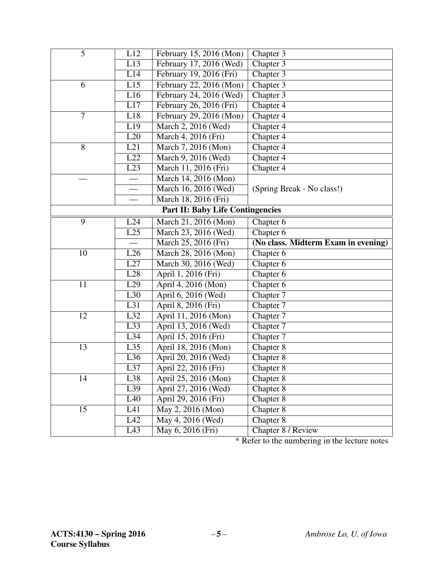| $\overline{5}$                          | L12                      | February 15, 2016 (Mon)                        | Chapter 3                           |  |  |  |  |
|-----------------------------------------|--------------------------|------------------------------------------------|-------------------------------------|--|--|--|--|
|                                         | L13                      | February 17, 2016 (Wed)                        | Chapter 3                           |  |  |  |  |
|                                         | L14                      | February 19, 2016 (Fri)                        | Chapter 3                           |  |  |  |  |
| 6                                       | L15                      | February 22, 2016 (Mon)                        | Chapter 3                           |  |  |  |  |
|                                         | L16                      | February 24, 2016 (Wed)                        | Chapter 3                           |  |  |  |  |
|                                         | L17                      | February 26, 2016 (Fri)                        | Chapter 4                           |  |  |  |  |
| $\overline{7}$                          | L18                      | February 29, 2016 (Mon)                        | Chapter 4                           |  |  |  |  |
|                                         | L19                      | March 2, 2016 (Wed)                            | Chapter 4                           |  |  |  |  |
|                                         | L20                      | March 4, 2016 (Fri)                            | Chapter 4                           |  |  |  |  |
| 8                                       | L21                      | March 7, 2016 (Mon)                            | Chapter 4                           |  |  |  |  |
|                                         | $\overline{L22}$         | March 9, 2016 (Wed)                            | Chapter 4                           |  |  |  |  |
|                                         | L23                      | March 11, 2016 (Fri)                           | Chapter 4                           |  |  |  |  |
|                                         |                          | March 14, 2016 (Mon)                           |                                     |  |  |  |  |
|                                         | $\overline{\phantom{0}}$ | March 16, 2016 (Wed)                           | (Spring Break - No class!)          |  |  |  |  |
|                                         |                          | March 18, 2016 (Fri)                           |                                     |  |  |  |  |
| <b>Part II: Baby Life Contingencies</b> |                          |                                                |                                     |  |  |  |  |
| 9                                       | L24                      | March 21, 2016 (Mon)                           | Chapter 6                           |  |  |  |  |
|                                         | $\overline{L25}$         | March 23, 2016 (Wed)                           | Chapter 6                           |  |  |  |  |
|                                         |                          | March 25, 2016 (Fri)                           | (No class. Midterm Exam in evening) |  |  |  |  |
| 10                                      | L26                      | March 28, 2016 (Mon)                           | Chapter 6                           |  |  |  |  |
|                                         |                          | March 30, 2016 (Wed)                           |                                     |  |  |  |  |
|                                         | L27                      |                                                | Chapter 6                           |  |  |  |  |
|                                         | L28                      | April 1, 2016 (Fri)                            | Chapter 6                           |  |  |  |  |
| 11                                      | L29                      | April 4, 2016 (Mon)                            | Chapter 6                           |  |  |  |  |
|                                         | L30                      | April 6, 2016 (Wed)                            | Chapter 7                           |  |  |  |  |
|                                         | L31                      | April 8, 2016 (Fri)                            | Chapter 7                           |  |  |  |  |
| 12                                      | L32                      | April 11, 2016 (Mon)                           | Chapter 7                           |  |  |  |  |
|                                         | L33                      | April 13, 2016 (Wed)                           | Chapter 7                           |  |  |  |  |
|                                         | L34                      | April 15, 2016 (Fri)                           | Chapter 7                           |  |  |  |  |
| 13                                      | L35                      | April 18, 2016 (Mon)                           | Chapter 8                           |  |  |  |  |
|                                         | L36                      | April 20, 2016 (Wed)                           | Chapter 8                           |  |  |  |  |
|                                         | $\overline{L37}$         | April 22, 2016 (Fri)                           | Chapter 8                           |  |  |  |  |
| 14                                      | L38                      | April 25, 2016 (Mon)                           | Chapter 8                           |  |  |  |  |
|                                         | L39                      | April 27, 2016 (Wed)                           | Chapter 8                           |  |  |  |  |
|                                         | L40                      | April 29, 2016 (Fri)                           | Chapter 8                           |  |  |  |  |
| 15                                      | L41                      | $\overline{\text{May } 2, 2016 \text{ (Mon)}}$ | Chapter 8                           |  |  |  |  |
|                                         | L42<br>$\overline{L43}$  | May 4, 2016 (Wed)<br>May 6, 2016 (Fri)         | Chapter 8<br>Chapter 8 / Review     |  |  |  |  |

\* Refer to the numbering in the lecture notes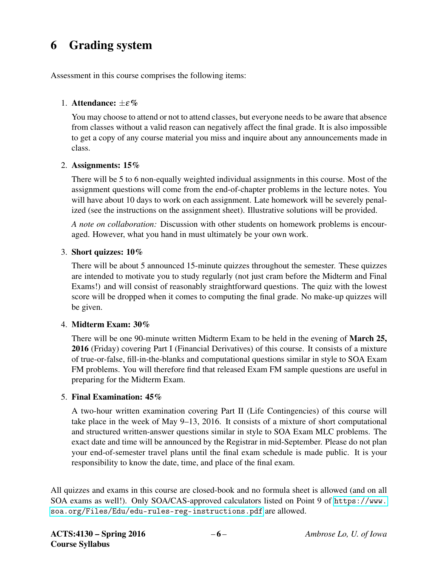# 6 Grading system

Assessment in this course comprises the following items:

#### 1. Attendance:  $\pm \varepsilon \%$

You may choose to attend or not to attend classes, but everyone needs to be aware that absence from classes without a valid reason can negatively affect the final grade. It is also impossible to get a copy of any course material you miss and inquire about any announcements made in class.

#### 2. Assignments: 15%

There will be 5 to 6 non-equally weighted individual assignments in this course. Most of the assignment questions will come from the end-of-chapter problems in the lecture notes. You will have about 10 days to work on each assignment. Late homework will be severely penalized (see the instructions on the assignment sheet). Illustrative solutions will be provided.

*A note on collaboration:* Discussion with other students on homework problems is encouraged. However, what you hand in must ultimately be your own work.

#### 3. Short quizzes: 10%

There will be about 5 announced 15-minute quizzes throughout the semester. These quizzes are intended to motivate you to study regularly (not just cram before the Midterm and Final Exams!) and will consist of reasonably straightforward questions. The quiz with the lowest score will be dropped when it comes to computing the final grade. No make-up quizzes will be given.

#### 4. Midterm Exam: 30%

There will be one 90-minute written Midterm Exam to be held in the evening of **March 25,** 2016 (Friday) covering Part I (Financial Derivatives) of this course. It consists of a mixture of true-or-false, fill-in-the-blanks and computational questions similar in style to SOA Exam FM problems. You will therefore find that released Exam FM sample questions are useful in preparing for the Midterm Exam.

#### 5. Final Examination: 45%

A two-hour written examination covering Part II (Life Contingencies) of this course will take place in the week of May 9–13, 2016. It consists of a mixture of short computational and structured written-answer questions similar in style to SOA Exam MLC problems. The exact date and time will be announced by the Registrar in mid-September. Please do not plan your end-of-semester travel plans until the final exam schedule is made public. It is your responsibility to know the date, time, and place of the final exam.

All quizzes and exams in this course are closed-book and no formula sheet is allowed (and on all SOA exams as well!). Only SOA/CAS-approved calculators listed on Point 9 of [https://www.](https://www.soa.org/Files/Edu/edu-rules-reg-instructions.pdf) [soa.org/Files/Edu/edu-rules-reg-instructions.pdf](https://www.soa.org/Files/Edu/edu-rules-reg-instructions.pdf) are allowed.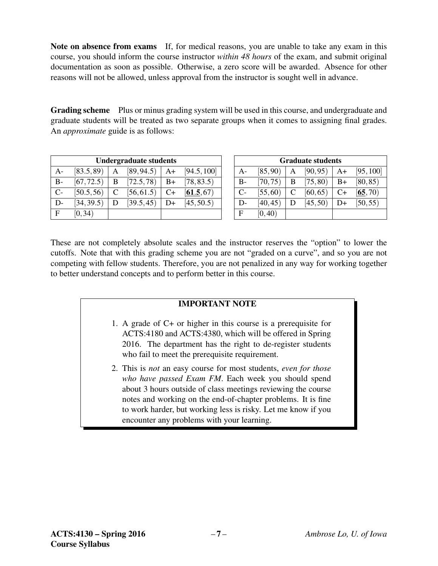Note on absence from exams If, for medical reasons, you are unable to take any exam in this course, you should inform the course instructor *within 48 hours* of the exam, and submit original documentation as soon as possible. Otherwise, a zero score will be awarded. Absence for other reasons will not be allowed, unless approval from the instructor is sought well in advance.

Grading scheme Plus or minus grading system will be used in this course, and undergraduate and graduate students will be treated as two separate groups when it comes to assigning final grades. An *approximate* guide is as follows:

| <b>Undergraduate students</b> |            |   |            |      |             |
|-------------------------------|------------|---|------------|------|-------------|
| A-                            | [83.5, 89] | Α | [89, 94.5] | A+   | [94.5, 100] |
| $B -$                         | [67, 72.5) | B | [72.5, 78] | B+   | [78, 83.5]  |
| $C-$                          | [50.5, 56] | C | [56, 61.5) | $C+$ | [61.5, 67]  |
| D-                            | [34, 39.5] | D | [39.5, 45] | D+   | [45, 50.5]  |
| F                             | [0, 34)    |   |            |      |             |

| <b>Graduate students</b> |          |   |          |      |           |
|--------------------------|----------|---|----------|------|-----------|
| $A-$                     | [85, 90) | A | [90, 95) | A+   | [95, 100] |
| $B-$                     | [70, 75) | В | [75, 80) | B+   | [80, 85)  |
| $C-$                     | [55, 60) | C | [60, 65) | $C+$ | [65, 70)  |
| D-                       | [40, 45) | D | [45, 50) | D+   | [50, 55)  |
| F                        | [0, 40)  |   |          |      |           |

These are not completely absolute scales and the instructor reserves the "option" to lower the cutoffs. Note that with this grading scheme you are not "graded on a curve", and so you are not competing with fellow students. Therefore, you are not penalized in any way for working together to better understand concepts and to perform better in this course.

#### IMPORTANT NOTE

- 1. A grade of C+ or higher in this course is a prerequisite for ACTS:4180 and ACTS:4380, which will be offered in Spring 2016. The department has the right to de-register students who fail to meet the prerequisite requirement.
- 2. This is *not* an easy course for most students, *even for those who have passed Exam FM*. Each week you should spend about 3 hours outside of class meetings reviewing the course notes and working on the end-of-chapter problems. It is fine to work harder, but working less is risky. Let me know if you encounter any problems with your learning.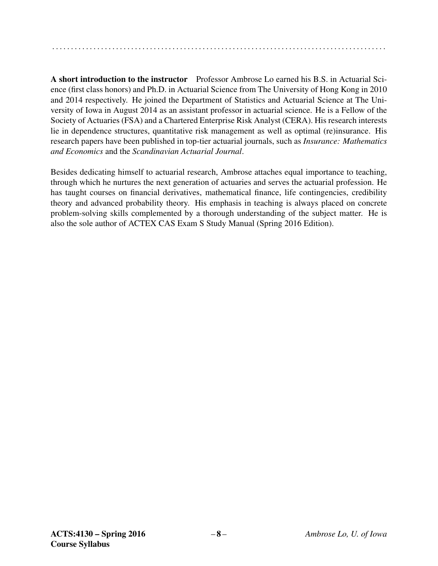. . . . . . . . . . . . . . . . . . . . . . . . . . . . . . . . . . . . . . . . . . . . . . . . . . . . . . . . . . . . . . . . . . . . . . . . . . . . . . . . . . . . . . . . .

A short introduction to the instructor Professor Ambrose Lo earned his B.S. in Actuarial Science (first class honors) and Ph.D. in Actuarial Science from The University of Hong Kong in 2010 and 2014 respectively. He joined the Department of Statistics and Actuarial Science at The University of Iowa in August 2014 as an assistant professor in actuarial science. He is a Fellow of the Society of Actuaries (FSA) and a Chartered Enterprise Risk Analyst (CERA). His research interests lie in dependence structures, quantitative risk management as well as optimal (re)insurance. His research papers have been published in top-tier actuarial journals, such as *Insurance: Mathematics and Economics* and the *Scandinavian Actuarial Journal*.

Besides dedicating himself to actuarial research, Ambrose attaches equal importance to teaching, through which he nurtures the next generation of actuaries and serves the actuarial profession. He has taught courses on financial derivatives, mathematical finance, life contingencies, credibility theory and advanced probability theory. His emphasis in teaching is always placed on concrete problem-solving skills complemented by a thorough understanding of the subject matter. He is also the sole author of ACTEX CAS Exam S Study Manual (Spring 2016 Edition).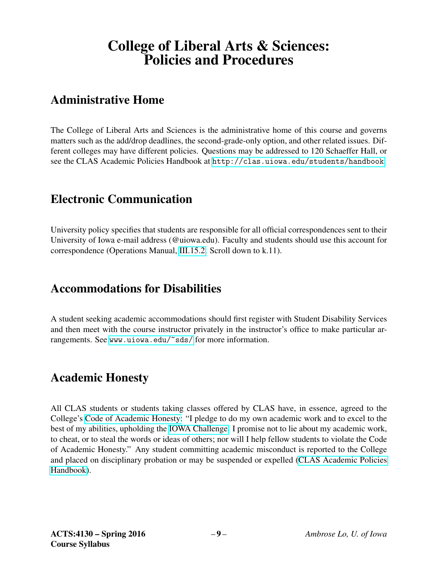# College of Liberal Arts & Sciences: Policies and Procedures

## Administrative Home

The College of Liberal Arts and Sciences is the administrative home of this course and governs matters such as the add/drop deadlines, the second-grade-only option, and other related issues. Different colleges may have different policies. Questions may be addressed to 120 Schaeffer Hall, or see the CLAS Academic Policies Handbook at <http://clas.uiowa.edu/students/handbook>.

## Electronic Communication

University policy specifies that students are responsible for all official correspondences sent to their University of Iowa e-mail address (@uiowa.edu). Faculty and students should use this account for correspondence (Operations Manual, [III.15.2.](http://www.uiowa.edu/~our/opmanual/iii/15.htm#152) Scroll down to k.11).

## Accommodations for Disabilities

A student seeking academic accommodations should first register with Student Disability Services and then meet with the course instructor privately in the instructor's office to make particular arrangements. See <www.uiowa.edu/~sds/> for more information.

## Academic Honesty

All CLAS students or students taking classes offered by CLAS have, in essence, agreed to the College's [Code of Academic Honesty:](http://clas.uiowa.edu/students/handbook/academic-fraud-honor-code) "I pledge to do my own academic work and to excel to the best of my abilities, upholding the [IOWA Challenge.](http://thechallenge.uiowa.edu/) I promise not to lie about my academic work, to cheat, or to steal the words or ideas of others; nor will I help fellow students to violate the Code of Academic Honesty." Any student committing academic misconduct is reported to the College and placed on disciplinary probation or may be suspended or expelled [\(CLAS Academic Policies](http://clas.uiowa.edu/students/handbook) [Handbook\)](http://clas.uiowa.edu/students/handbook).